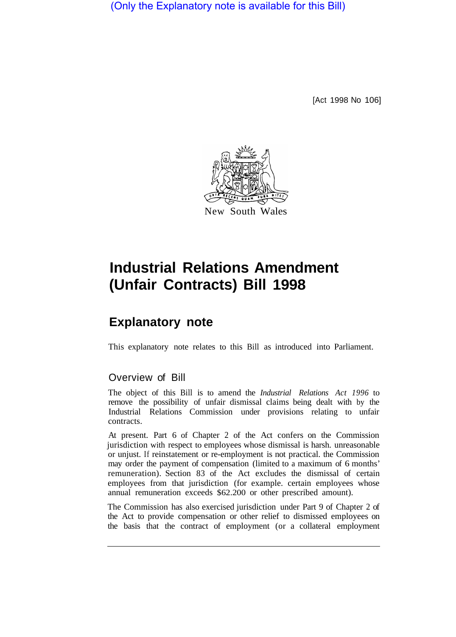(Only the Explanatory note is available for this Bill)

[Act 1998 No 106]



## **Industrial Relations Amendment (Unfair Contracts) Bill 1998**

## **Explanatory note**

This explanatory note relates to this Bill as introduced into Parliament.

## Overview of Bill

The object of this Bill is to amend the *Industrial Relations Act 1996* to remove the possibility of unfair dismissal claims being dealt with by the Industrial Relations Commission under provisions relating to unfair contracts.

At present. Part 6 of Chapter 2 of the Act confers on the Commission jurisdiction with respect to employees whose dismissal is harsh. unreasonable or unjust. If reinstatement or re-employment is not practical. the Commission may order the payment of compensation (limited to a maximum of 6 months' remuneration). Section 83 of the Act excludes the dismissal of certain employees from that jurisdiction (for example. certain employees whose annual remuneration exceeds \$62.200 or other prescribed amount).

The Commission has also exercised jurisdiction under Part 9 of Chapter 2 of the Act to provide compensation or other relief to dismissed employees on the basis that the contract of employment (or a collateral employment